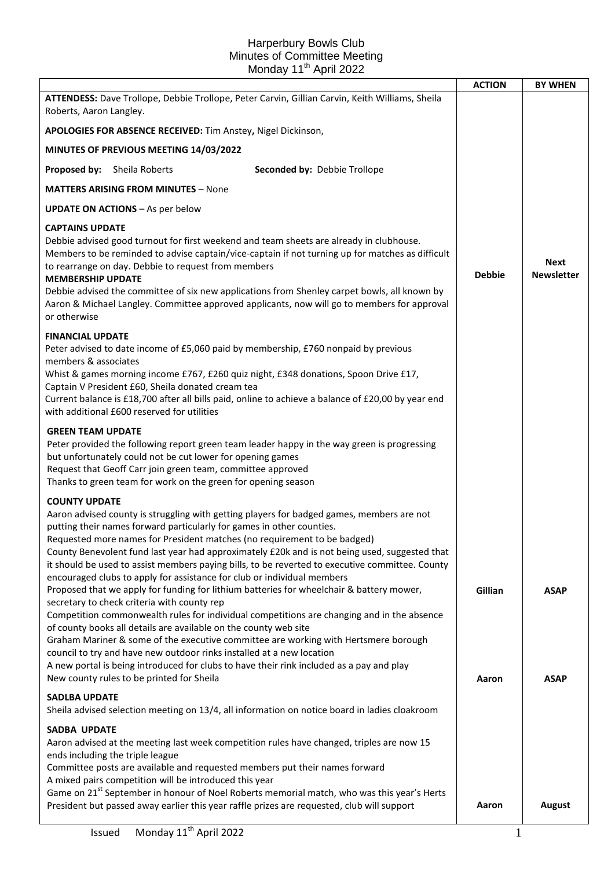|                                                                                                                                                                                                                                                                                                                                                                                                                                                                                                                                                                                                                                                                                                  | <b>ACTION</b> | <b>BY WHEN</b>                   |
|--------------------------------------------------------------------------------------------------------------------------------------------------------------------------------------------------------------------------------------------------------------------------------------------------------------------------------------------------------------------------------------------------------------------------------------------------------------------------------------------------------------------------------------------------------------------------------------------------------------------------------------------------------------------------------------------------|---------------|----------------------------------|
| ATTENDESS: Dave Trollope, Debbie Trollope, Peter Carvin, Gillian Carvin, Keith Williams, Sheila<br>Roberts, Aaron Langley.                                                                                                                                                                                                                                                                                                                                                                                                                                                                                                                                                                       |               |                                  |
| APOLOGIES FOR ABSENCE RECEIVED: Tim Anstey, Nigel Dickinson,                                                                                                                                                                                                                                                                                                                                                                                                                                                                                                                                                                                                                                     |               |                                  |
| MINUTES OF PREVIOUS MEETING 14/03/2022                                                                                                                                                                                                                                                                                                                                                                                                                                                                                                                                                                                                                                                           |               |                                  |
| Seconded by: Debbie Trollope<br>Proposed by:<br>Sheila Roberts                                                                                                                                                                                                                                                                                                                                                                                                                                                                                                                                                                                                                                   |               |                                  |
| <b>MATTERS ARISING FROM MINUTES - None</b>                                                                                                                                                                                                                                                                                                                                                                                                                                                                                                                                                                                                                                                       |               |                                  |
| <b>UPDATE ON ACTIONS - As per below</b>                                                                                                                                                                                                                                                                                                                                                                                                                                                                                                                                                                                                                                                          |               |                                  |
| <b>CAPTAINS UPDATE</b><br>Debbie advised good turnout for first weekend and team sheets are already in clubhouse.<br>Members to be reminded to advise captain/vice-captain if not turning up for matches as difficult<br>to rearrange on day. Debbie to request from members<br><b>MEMBERSHIP UPDATE</b><br>Debbie advised the committee of six new applications from Shenley carpet bowls, all known by<br>Aaron & Michael Langley. Committee approved applicants, now will go to members for approval<br>or otherwise                                                                                                                                                                          | <b>Debbie</b> | <b>Next</b><br><b>Newsletter</b> |
| <b>FINANCIAL UPDATE</b><br>Peter advised to date income of £5,060 paid by membership, £760 nonpaid by previous<br>members & associates<br>Whist & games morning income £767, £260 quiz night, £348 donations, Spoon Drive £17,<br>Captain V President £60, Sheila donated cream tea<br>Current balance is £18,700 after all bills paid, online to achieve a balance of £20,00 by year end<br>with additional £600 reserved for utilities                                                                                                                                                                                                                                                         |               |                                  |
| <b>GREEN TEAM UPDATE</b><br>Peter provided the following report green team leader happy in the way green is progressing<br>but unfortunately could not be cut lower for opening games<br>Request that Geoff Carr join green team, committee approved<br>Thanks to green team for work on the green for opening season                                                                                                                                                                                                                                                                                                                                                                            |               |                                  |
| <b>COUNTY UPDATE</b><br>Aaron advised county is struggling with getting players for badged games, members are not<br>putting their names forward particularly for games in other counties.<br>Requested more names for President matches (no requirement to be badged)<br>County Benevolent fund last year had approximately £20k and is not being used, suggested that<br>it should be used to assist members paying bills, to be reverted to executive committee. County<br>encouraged clubs to apply for assistance for club or individual members<br>Proposed that we apply for funding for lithium batteries for wheelchair & battery mower,<br>secretary to check criteria with county rep | Gillian       | <b>ASAP</b>                      |
| Competition commonwealth rules for individual competitions are changing and in the absence<br>of county books all details are available on the county web site<br>Graham Mariner & some of the executive committee are working with Hertsmere borough<br>council to try and have new outdoor rinks installed at a new location<br>A new portal is being introduced for clubs to have their rink included as a pay and play<br>New county rules to be printed for Sheila                                                                                                                                                                                                                          | Aaron         | <b>ASAP</b>                      |
| <b>SADLBA UPDATE</b><br>Sheila advised selection meeting on 13/4, all information on notice board in ladies cloakroom                                                                                                                                                                                                                                                                                                                                                                                                                                                                                                                                                                            |               |                                  |
| <b>SADBA UPDATE</b><br>Aaron advised at the meeting last week competition rules have changed, triples are now 15<br>ends including the triple league<br>Committee posts are available and requested members put their names forward<br>A mixed pairs competition will be introduced this year                                                                                                                                                                                                                                                                                                                                                                                                    |               |                                  |
| Game on 21 <sup>st</sup> September in honour of Noel Roberts memorial match, who was this year's Herts<br>President but passed away earlier this year raffle prizes are requested, club will support                                                                                                                                                                                                                                                                                                                                                                                                                                                                                             | Aaron         | <b>August</b>                    |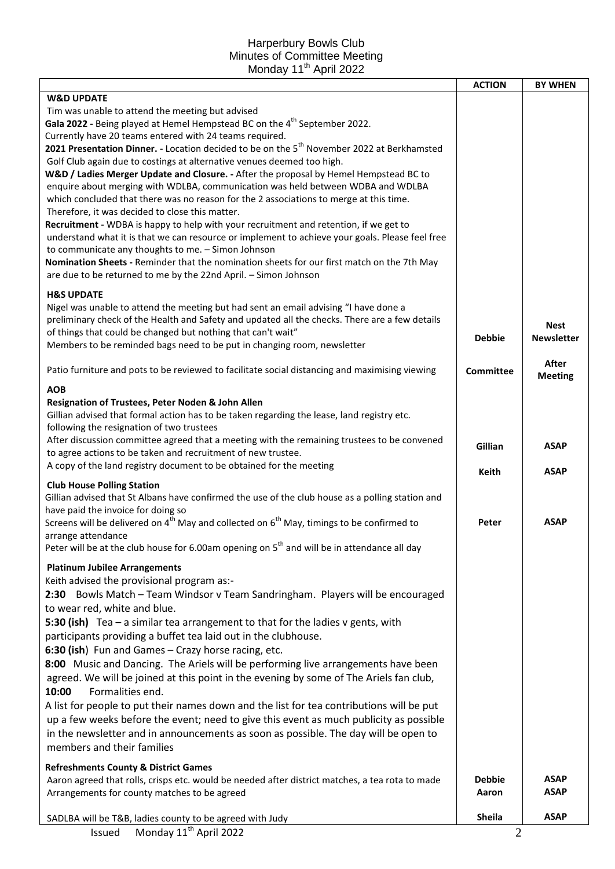|                                                                                                                                                                                          | <b>ACTION</b> | <b>BY WHEN</b>    |
|------------------------------------------------------------------------------------------------------------------------------------------------------------------------------------------|---------------|-------------------|
| <b>W&amp;D UPDATE</b>                                                                                                                                                                    |               |                   |
| Tim was unable to attend the meeting but advised                                                                                                                                         |               |                   |
| Gala 2022 - Being played at Hemel Hempstead BC on the 4 <sup>th</sup> September 2022.<br>Currently have 20 teams entered with 24 teams required.                                         |               |                   |
| 2021 Presentation Dinner. - Location decided to be on the 5 <sup>th</sup> November 2022 at Berkhamsted                                                                                   |               |                   |
| Golf Club again due to costings at alternative venues deemed too high.                                                                                                                   |               |                   |
| W&D / Ladies Merger Update and Closure. - After the proposal by Hemel Hempstead BC to                                                                                                    |               |                   |
| enquire about merging with WDLBA, communication was held between WDBA and WDLBA                                                                                                          |               |                   |
| which concluded that there was no reason for the 2 associations to merge at this time.                                                                                                   |               |                   |
| Therefore, it was decided to close this matter.                                                                                                                                          |               |                   |
| Recruitment - WDBA is happy to help with your recruitment and retention, if we get to<br>understand what it is that we can resource or implement to achieve your goals. Please feel free |               |                   |
| to communicate any thoughts to me. - Simon Johnson                                                                                                                                       |               |                   |
| Nomination Sheets - Reminder that the nomination sheets for our first match on the 7th May                                                                                               |               |                   |
| are due to be returned to me by the 22nd April. - Simon Johnson                                                                                                                          |               |                   |
| <b>H&amp;S UPDATE</b>                                                                                                                                                                    |               |                   |
| Nigel was unable to attend the meeting but had sent an email advising "I have done a                                                                                                     |               |                   |
| preliminary check of the Health and Safety and updated all the checks. There are a few details                                                                                           |               | <b>Nest</b>       |
| of things that could be changed but nothing that can't wait"                                                                                                                             | <b>Debbie</b> | <b>Newsletter</b> |
| Members to be reminded bags need to be put in changing room, newsletter                                                                                                                  |               |                   |
| Patio furniture and pots to be reviewed to facilitate social distancing and maximising viewing                                                                                           | Committee     | After             |
|                                                                                                                                                                                          |               | <b>Meeting</b>    |
| <b>AOB</b>                                                                                                                                                                               |               |                   |
| Resignation of Trustees, Peter Noden & John Allen<br>Gillian advised that formal action has to be taken regarding the lease, land registry etc.                                          |               |                   |
| following the resignation of two trustees                                                                                                                                                |               |                   |
| After discussion committee agreed that a meeting with the remaining trustees to be convened                                                                                              |               |                   |
| to agree actions to be taken and recruitment of new trustee.                                                                                                                             | Gillian       | <b>ASAP</b>       |
| A copy of the land registry document to be obtained for the meeting                                                                                                                      | <b>Keith</b>  | <b>ASAP</b>       |
| <b>Club House Polling Station</b>                                                                                                                                                        |               |                   |
| Gillian advised that St Albans have confirmed the use of the club house as a polling station and                                                                                         |               |                   |
| have paid the invoice for doing so                                                                                                                                                       |               |                   |
| Screens will be delivered on $4^{th}$ May and collected on $6^{th}$ May, timings to be confirmed to                                                                                      | Peter         | <b>ASAP</b>       |
| arrange attendance<br>Peter will be at the club house for 6.00am opening on $5th$ and will be in attendance all day                                                                      |               |                   |
|                                                                                                                                                                                          |               |                   |
| <b>Platinum Jubilee Arrangements</b>                                                                                                                                                     |               |                   |
| Keith advised the provisional program as:-<br>Bowls Match - Team Windsor v Team Sandringham. Players will be encouraged<br>2:30                                                          |               |                   |
| to wear red, white and blue.                                                                                                                                                             |               |                   |
| 5:30 (ish) Tea - a similar tea arrangement to that for the ladies v gents, with                                                                                                          |               |                   |
| participants providing a buffet tea laid out in the clubhouse.                                                                                                                           |               |                   |
| 6:30 (ish) Fun and Games - Crazy horse racing, etc.                                                                                                                                      |               |                   |
| 8:00 Music and Dancing. The Ariels will be performing live arrangements have been                                                                                                        |               |                   |
| agreed. We will be joined at this point in the evening by some of The Ariels fan club,                                                                                                   |               |                   |
| Formalities end.<br>10:00                                                                                                                                                                |               |                   |
| A list for people to put their names down and the list for tea contributions will be put                                                                                                 |               |                   |
| up a few weeks before the event; need to give this event as much publicity as possible                                                                                                   |               |                   |
| in the newsletter and in announcements as soon as possible. The day will be open to                                                                                                      |               |                   |
| members and their families                                                                                                                                                               |               |                   |
| <b>Refreshments County &amp; District Games</b>                                                                                                                                          |               |                   |
| Aaron agreed that rolls, crisps etc. would be needed after district matches, a tea rota to made                                                                                          | <b>Debbie</b> | <b>ASAP</b>       |
| Arrangements for county matches to be agreed                                                                                                                                             | Aaron         | <b>ASAP</b>       |
| SADLBA will be T&B, ladies county to be agreed with Judy                                                                                                                                 | Sheila        | <b>ASAP</b>       |
|                                                                                                                                                                                          |               |                   |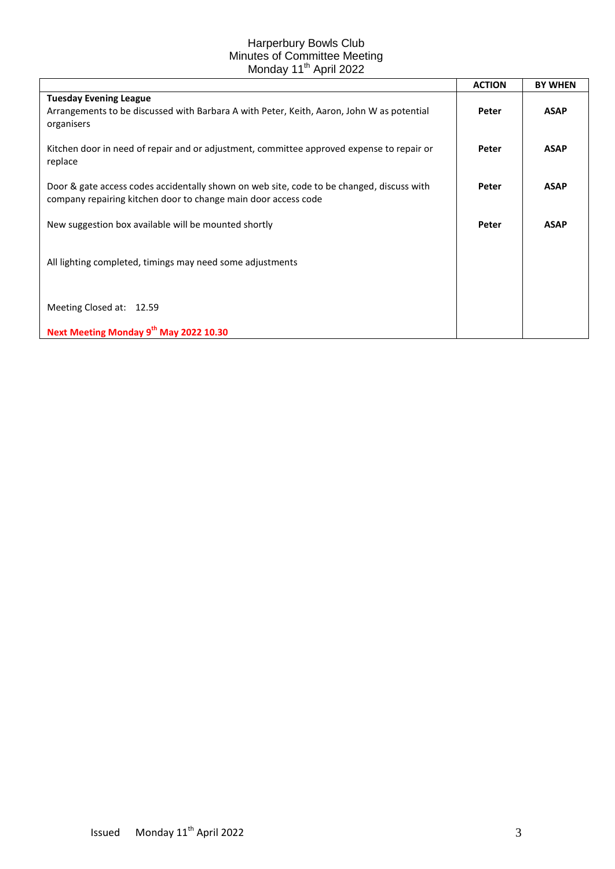|                                                                                                                                                             | <b>ACTION</b> | <b>BY WHEN</b> |
|-------------------------------------------------------------------------------------------------------------------------------------------------------------|---------------|----------------|
| <b>Tuesday Evening League</b><br>Arrangements to be discussed with Barbara A with Peter, Keith, Aaron, John W as potential<br>organisers                    | Peter         | <b>ASAP</b>    |
| Kitchen door in need of repair and or adjustment, committee approved expense to repair or<br>replace                                                        | Peter         | <b>ASAP</b>    |
| Door & gate access codes accidentally shown on web site, code to be changed, discuss with<br>company repairing kitchen door to change main door access code | Peter         | <b>ASAP</b>    |
| New suggestion box available will be mounted shortly                                                                                                        | Peter         | <b>ASAP</b>    |
| All lighting completed, timings may need some adjustments                                                                                                   |               |                |
| Meeting Closed at: 12.59                                                                                                                                    |               |                |
| Next Meeting Monday 9th May 2022 10.30                                                                                                                      |               |                |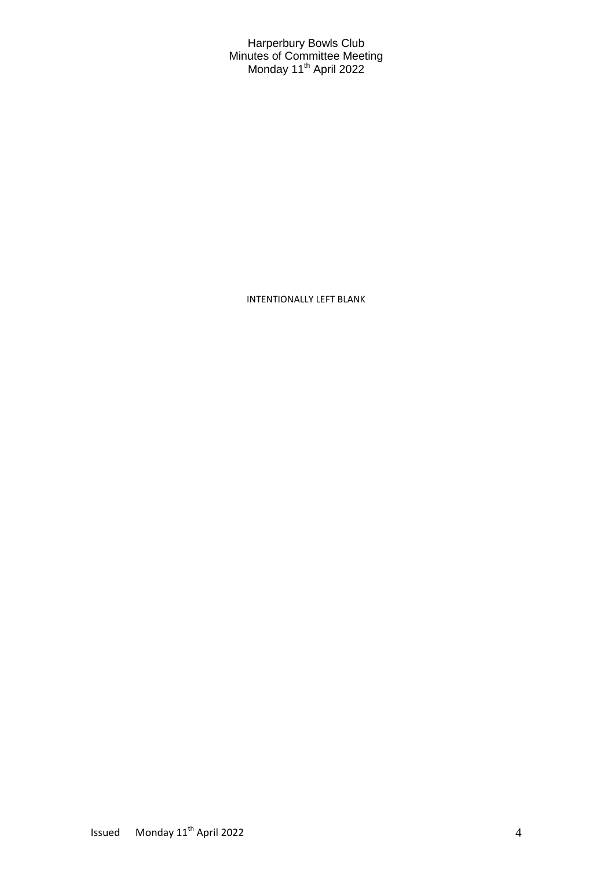INTENTIONALLY LEFT BLANK